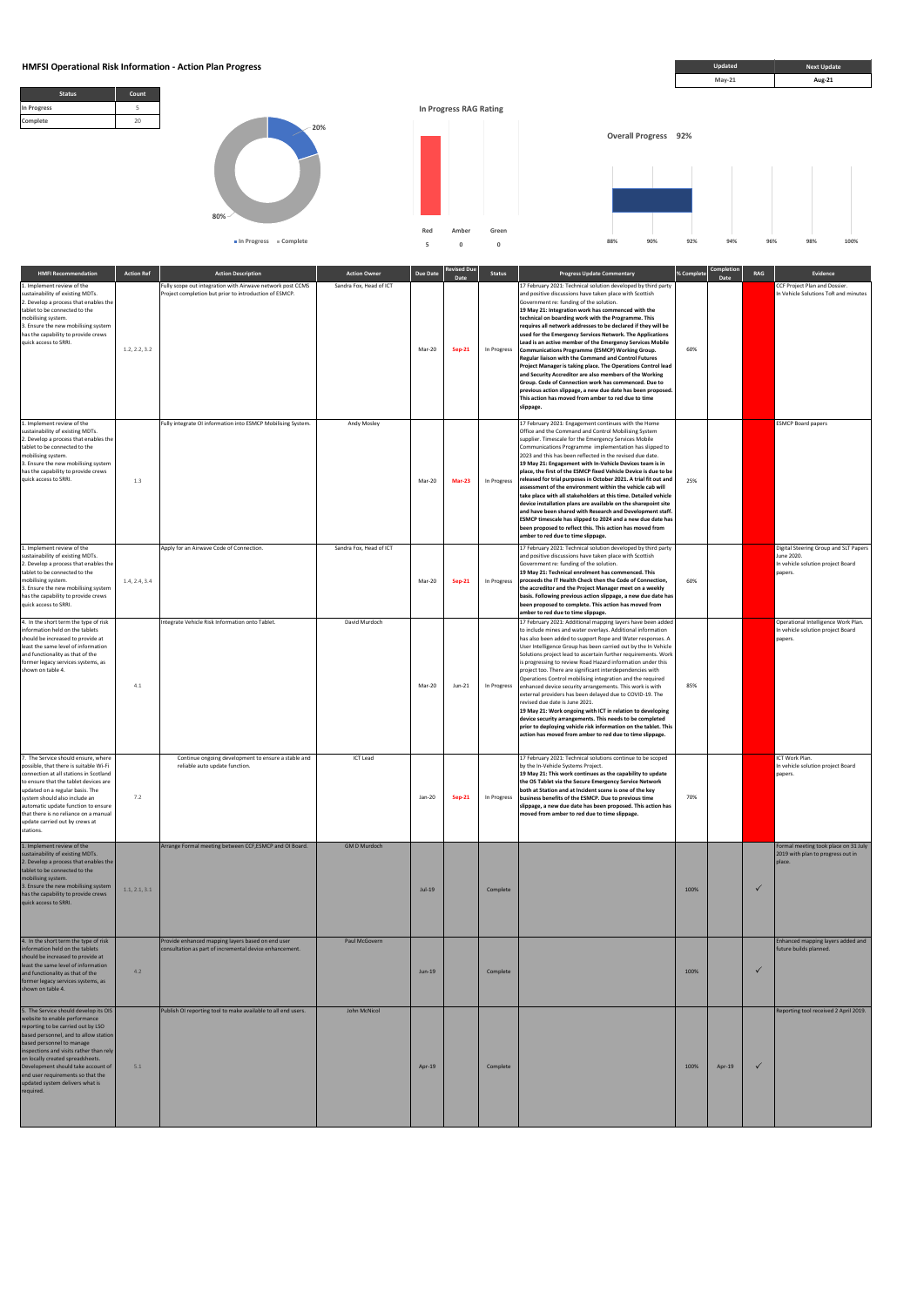## **HMFSI Operational Risk Information - Action Plan Progress <b>***Next Update* **Next Update Next Update**





| <b>HMFI Recommendation</b>                                                                                                                                                                                                                                                                                                                                          | <b>Action Ref</b> | <b>Action Description</b>                                                                                            | <b>Action Owner</b>     | <b>Due Date</b> | evised Due<br>Date | <b>Status</b> | <b>Progress Update Commentary</b>                                                                                                                                                                                                                                                                                                                                                                                                                                                                                                                                                                                                                                                                                                                                                                                                                                                                                                         | % Complet | Completior<br>Date | RAG          | Evidence                                                                                            |
|---------------------------------------------------------------------------------------------------------------------------------------------------------------------------------------------------------------------------------------------------------------------------------------------------------------------------------------------------------------------|-------------------|----------------------------------------------------------------------------------------------------------------------|-------------------------|-----------------|--------------------|---------------|-------------------------------------------------------------------------------------------------------------------------------------------------------------------------------------------------------------------------------------------------------------------------------------------------------------------------------------------------------------------------------------------------------------------------------------------------------------------------------------------------------------------------------------------------------------------------------------------------------------------------------------------------------------------------------------------------------------------------------------------------------------------------------------------------------------------------------------------------------------------------------------------------------------------------------------------|-----------|--------------------|--------------|-----------------------------------------------------------------------------------------------------|
| 1. Implement review of the<br>sustainability of existing MDTs.<br>2. Develop a process that enables the<br>tablet to be connected to the<br>mobilising system.<br>3. Ensure the new mobilising system<br>has the capability to provide crews<br>quick access to SRRI.                                                                                               | 1.2, 2.2, 3.2     | Fully scope out integration with Airwave network post CCMS<br>Project completion but prior to introduction of ESMCP. | Sandra Fox, Head of ICT | Mar-20          | <b>Sep-21</b>      | In Progress   | 17 February 2021: Technical solution developed by third party<br>and positive discussions have taken place with Scottish<br>Government re: funding of the solution.<br>19 May 21: Integration work has commenced with the<br>technical on boarding work with the Programme. This<br>requires all network addresses to be declared if they will be<br>used for the Emergency Services Network. The Applications<br>Lead is an active member of the Emergency Services Mobile<br>Communications Programme (ESMCP) Working Group.<br>Regular liaison with the Command and Control Futures<br>Project Manager is taking place. The Operations Control lead<br>and Security Accreditor are also members of the Working<br>Group. Code of Connection work has commenced. Due to<br>previous action slippage, a new due date has been proposed.<br>This action has moved from amber to red due to time<br>slippage.                              | 60%       |                    |              | CCF Project Plan and Dossier.<br>In Vehicle Solutions ToR and minutes                               |
| 1. Implement review of the<br>sustainability of existing MDTs.<br>2. Develop a process that enables the<br>tablet to be connected to the<br>mobilising system.<br>3. Ensure the new mobilising system<br>has the capability to provide crews<br>quick access to SRRI.                                                                                               | 1.3               | Fully integrate OI information into ESMCP Mobilising System.                                                         | Andy Mosley             | Mar-20          | <b>Mar-23</b>      | In Progress   | 17 February 2021: Engagement continues with the Home<br>Office and the Command and Control Mobilising System<br>supplier. Timescale for the Emergency Services Mobile<br>Communications Programme implementation has slipped to<br>2023 and this has been reflected in the revised due date.<br>19 May 21: Engagement with In-Vehicle Devices team is in<br>place, the first of the ESMCP fixed Vehicle Device is due to be<br>released for trial purposes in October 2021. A trial fit out and<br>assessment of the environment within the vehicle cab will<br>take place with all stakeholders at this time. Detailed vehicle<br>device installation plans are available on the sharepoint site<br>and have been shared with Research and Development staff.<br>ESMCP timescale has slipped to 2024 and a new due date has<br>been proposed to reflect this. This action has moved from<br>amber to red due to time slippage.           | 25%       |                    |              | <b>ESMCP Board papers</b>                                                                           |
| 1. Implement review of the<br>sustainability of existing MDTs.<br>2. Develop a process that enables the<br>tablet to be connected to the<br>mobilising system.<br>3. Ensure the new mobilising system<br>has the capability to provide crews<br>quick access to SRRI.                                                                                               | 1.4, 2.4, 3.4     | Apply for an Airwave Code of Connection.                                                                             | Sandra Fox, Head of ICT | Mar-20          | <b>Sep-21</b>      | In Progress   | 17 February 2021: Technical solution developed by third party<br>and positive discussions have taken place with Scottish<br>Government re: funding of the solution.<br>19 May 21: Technical enrolment has commenced. This<br>proceeds the IT Health Check then the Code of Connection,<br>the accreditor and the Project Manager meet on a weekly<br>basis. Following previous action slippage, a new due date has<br>been proposed to complete. This action has moved from<br>amber to red due to time slippage.                                                                                                                                                                                                                                                                                                                                                                                                                         | 60%       |                    |              | Digital Steering Group and SLT Papers<br>June 2020.<br>In vehicle solution project Board<br>papers. |
| 4. In the short term the type of risk<br>information held on the tablets<br>should be increased to provide at<br>least the same level of information<br>and functionality as that of the<br>former legacy services systems, as<br>shown on table 4.                                                                                                                 | 4.1               | Integrate Vehicle Risk Information onto Tablet.                                                                      | David Murdoch           | Mar-20          | Jun-21             | In Progress   | 17 February 2021: Additional mapping layers have been added<br>to include mines and water overlays. Additional information<br>has also been added to support Rope and Water responses. A<br>User Intelligence Group has been carried out by the In Vehicle<br>Solutions project lead to ascertain further requirements. Work<br>is progressing to review Road Hazard information under this<br>project too. There are significant interdependencies with<br>Operations Control mobilising integration and the required<br>enhanced device security arrangements. This work is with<br>external providers has been delayed due to COVID-19. The<br>revised due date is June 2021.<br>19 May 21: Work ongoing with ICT in relation to developing<br>device security arrangements. This needs to be completed<br>prior to deploying vehicle risk information on the tablet. This<br>action has moved from amber to red due to time slippage. | 85%       |                    |              | Operational Intelligence Work Plan.<br>In vehicle solution project Board<br>papers.                 |
| 7. The Service should ensure, where<br>possible, that there is suitable Wi-Fi<br>connection at all stations in Scotland<br>to ensure that the tablet devices are<br>updated on a regular basis. The<br>system should also include an<br>automatic update function to ensure<br>that there is no reliance on a manual<br>update carried out by crews at<br>stations. | 7.2               | Continue ongoing development to ensure a stable and<br>reliable auto update function.                                | <b>ICT Lead</b>         | Jan-20          | <b>Sep-21</b>      | In Progress   | 17 February 2021: Technical solutions continue to be scoped<br>by the In-Vehicle Systems Project.<br>19 May 21: This work continues as the capability to update<br>the OS Tablet via the Secure Emergency Service Network<br>both at Station and at Incident scene is one of the key<br>business benefits of the ESMCP. Due to previous time<br>slippage, a new due date has been proposed. This action has<br>moved from amber to red due to time slippage.                                                                                                                                                                                                                                                                                                                                                                                                                                                                              | 70%       |                    |              | ICT Work Plan.<br>In vehicle solution project Board<br>papers.                                      |
| 1. Implement review of the<br>sustainability of existing MDTs.<br>2. Develop a process that enables the<br>tablet to be connected to the<br>mobilising system.<br>3. Ensure the new mobilising system<br>has the capability to provide crews<br>quick access to SRRI.                                                                                               | 1.1, 2.1, 3.1     | Arrange Formal meeting between CCF, ESMCP and OI Board.                                                              | <b>GMD Murdoch</b>      | <b>Jul-19</b>   |                    | Complete      |                                                                                                                                                                                                                                                                                                                                                                                                                                                                                                                                                                                                                                                                                                                                                                                                                                                                                                                                           | 100%      |                    | ✓            | Formal meeting took place on 31 July<br>2019 with plan to progress out in<br>place.                 |
| 4. In the short term the type of risk<br>information held on the tablets<br>should be increased to provide at<br>least the same level of information<br>and functionality as that of the<br>former legacy services systems, as                                                                                                                                      | 4.2               | Provide enhanced mapping layers based on end user<br>consultation as part of incremental device enhancement.         | Paul McGovern           | Jun-19          |                    | Complete      |                                                                                                                                                                                                                                                                                                                                                                                                                                                                                                                                                                                                                                                                                                                                                                                                                                                                                                                                           | 100%      |                    | $\checkmark$ | Enhanced mapping layers added and<br>future builds planned.                                         |



| former legacy services systems, as<br>shown on table 4.                                                                                                                                                                                                                                                                                                                                      |     |                                                               |              |        |          |      |        |                                       |
|----------------------------------------------------------------------------------------------------------------------------------------------------------------------------------------------------------------------------------------------------------------------------------------------------------------------------------------------------------------------------------------------|-----|---------------------------------------------------------------|--------------|--------|----------|------|--------|---------------------------------------|
| 5. The Service should develop its OIS<br>website to enable performance<br>reporting to be carried out by LSO<br>based personnel, and to allow station<br>based personnel to manage<br>inspections and visits rather than rely<br>on locally created spreadsheets.<br>Development should take account of<br>end user requirements so that the<br>updated system delivers what is<br>required. | 5.1 | Publish OI reporting tool to make available to all end users. | John McNicol | Apr-19 | Complete | 100% | Apr-19 | Reporting tool received 2 April 2019. |

**Updated**



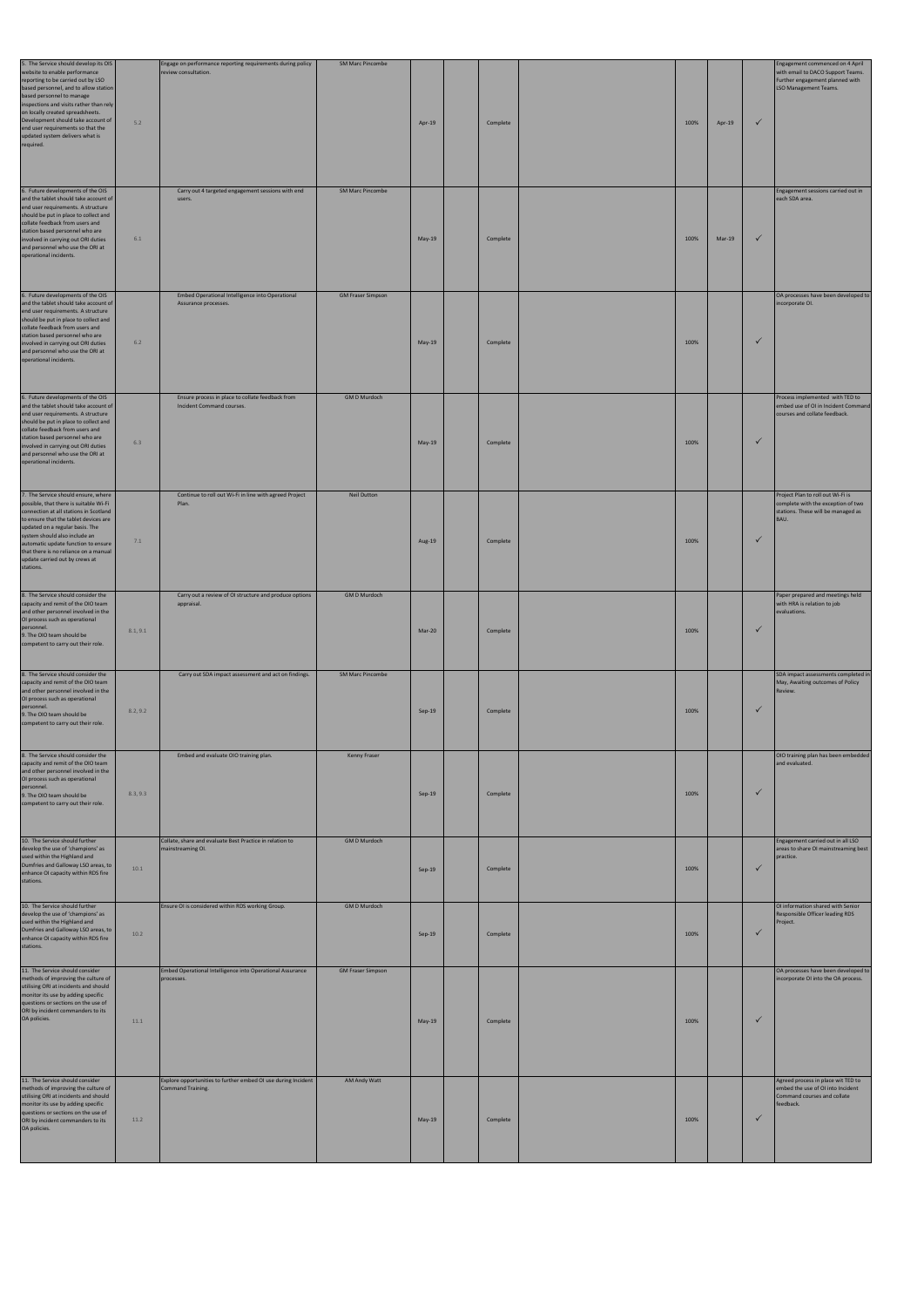| 5. The Service should develop its OIS<br>website to enable performance<br>reporting to be carried out by LSO<br>based personnel, and to allow station<br>based personnel to manage<br>inspections and visits rather than rely<br>on locally created spreadsheets.<br>Development should take account of<br>end user requirements so that the<br>updated system delivers what is<br>required. | 5.2      | Engage on performance reporting requirements during policy<br>review consultation. | <b>SM Marc Pincombe</b>  | Apr-19   | Complete | 100% | Apr-19 | $\checkmark$ | Engagement commenced on 4 April<br>with email to DACO Support Teams.<br>Further engagement planned with<br>LSO Management Teams. |
|----------------------------------------------------------------------------------------------------------------------------------------------------------------------------------------------------------------------------------------------------------------------------------------------------------------------------------------------------------------------------------------------|----------|------------------------------------------------------------------------------------|--------------------------|----------|----------|------|--------|--------------|----------------------------------------------------------------------------------------------------------------------------------|
| 6. Future developments of the OIS<br>and the tablet should take account of<br>end user requirements. A structure<br>should be put in place to collect and<br>collate feedback from users and<br>station based personnel who are<br>involved in carrying out ORI duties<br>and personnel who use the ORI at<br>operational incidents.                                                         | 6.1      | Carry out 4 targeted engagement sessions with end<br>users.                        | <b>SM Marc Pincombe</b>  | May-19   | Complete | 100% | Mar-19 | $\checkmark$ | Engagement sessions carried out in<br>each SDA area.                                                                             |
| 6. Future developments of the OIS<br>and the tablet should take account of<br>end user requirements. A structure<br>should be put in place to collect and<br>collate feedback from users and<br>station based personnel who are<br>involved in carrying out ORI duties<br>and personnel who use the ORI at<br>operational incidents.                                                         | 6.2      | Embed Operational Intelligence into Operational<br>Assurance processes.            | <b>GM Fraser Simpson</b> | May-19   | Complete | 100% |        | ✓            | OA processes have been developed to<br>incorporate OI.                                                                           |
| 6. Future developments of the OIS<br>and the tablet should take account of<br>end user requirements. A structure<br>should be put in place to collect and<br>collate feedback from users and<br>station based personnel who are<br>involved in carrying out ORI duties<br>and personnel who use the ORI at<br>operational incidents.                                                         | 6.3      | Ensure process in place to collate feedback from<br>Incident Command courses.      | <b>GMD Murdoch</b>       | May-19   | Complete | 100% |        | $\checkmark$ | Process implemented with TED to<br>embed use of OI in Incident Command<br>courses and collate feedback.                          |
| 7. The Service should ensure, where<br>possible, that there is suitable Wi-Fi<br>connection at all stations in Scotland<br>to ensure that the tablet devices are<br>updated on a regular basis. The<br>system should also include an<br>automatic update function to ensure<br>that there is no reliance on a manual<br>update carried out by crews at<br>stations.                          | 7.1      | Continue to roll out Wi-Fi in line with agreed Project<br>Plan.                    | <b>Neil Dutton</b>       | Aug-19   | Complete | 100% |        | $\checkmark$ | Project Plan to roll out Wi-Fi is<br>complete with the exception of two<br>stations. These will be managed as<br>BAU.            |
| 8. The Service should consider the<br>capacity and remit of the OIO team<br>and other personnel involved in the<br>OI process such as operational<br>personnel.<br>9. The OIO team should be<br>competent to carry out their role.                                                                                                                                                           | 8.1, 9.1 | Carry out a review of OI structure and produce options<br>appraisal.               | <b>GMD Murdoch</b>       | Mar-20   | Complete | 100% |        | $\checkmark$ | Paper prepared and meetings held<br>with HRA is relation to job<br>evaluations.                                                  |
| 8. The Service should consider the<br>capacity and remit of the OIO team<br>and other personnel involved in the<br>OI process such as operational<br>personnel.<br>9. The OIO team should be<br>competent to carry out their role.                                                                                                                                                           | 8.2, 9.2 | Carry out SDA impact assessment and act on findings.                               | <b>SM Marc Pincombe</b>  | $Sep-19$ | Complete | 100% |        | $\checkmark$ | SDA impact assessments completed in<br>May, Awaiting outcomes of Policy<br>Review.                                               |
| 8. The Service should consider the<br>capacity and remit of the OIO team<br>and other personnel involved in the<br>OI process such as operational<br>personnel.<br>9. The OIO team should be<br>competent to carry out their role.                                                                                                                                                           | 8.3, 9.3 | Embed and evaluate OIO training plan.                                              | Kenny Fraser             | $Sep-19$ | Complete | 100% |        | $\checkmark$ | OIO training plan has been embedded<br>and evaluated.                                                                            |
| 10. The Service should further<br>develop the use of 'champions' as<br>used within the Highland and<br>Dumfries and Galloway LSO areas, to<br>enhance OI capacity within RDS fire<br>stations.                                                                                                                                                                                               | 10.1     | Collate, share and evaluate Best Practice in relation to<br>mainstreaming OI.      | <b>GMD Murdoch</b>       | Sep-19   | Complete | 100% |        | $\checkmark$ | Engagement carried out in all LSO<br>areas to share OI mainstreaming best<br>practice.                                           |
| 10. The Service should further<br>develop the use of 'champions' as<br>used within the Highland and<br>Dumfries and Galloway LSO areas, to<br>enhance OI capacity within RDS fire<br>stations.                                                                                                                                                                                               | 10.2     | Ensure OI is considered within RDS working Group.                                  | <b>GMD Murdoch</b>       | $Sep-19$ | Complete | 100% |        | $\checkmark$ | OI information shared with Senior<br>Responsible Officer leading RDS<br>Project.                                                 |
| 11. The Service should consider<br>methods of improving the culture of<br>utilising ORI at incidents and should<br>monitor its use by adding specific<br>questions or sections on the use of<br>ORI by incident commanders to its<br>OA policies.                                                                                                                                            | 11.1     | Embed Operational Intelligence into Operational Assurance<br>processes.            | <b>GM Fraser Simpson</b> | $May-19$ | Complete | 100% |        | $\checkmark$ | OA processes have been developed to<br>incorporate OI into the OA process.                                                       |
| 11. The Service should consider<br>methods of improving the culture of<br>utilising ORI at incidents and should<br>monitor its use by adding specific<br>questions or sections on the use of<br>ORI by incident commanders to its<br>OA policies.                                                                                                                                            | 11.2     | Explore opportunities to further embed OI use during Incident<br>Command Training. | AM Andy Watt             | May-19   | Complete | 100% |        | $\checkmark$ | Agreed process in place wit TED to<br>embed the use of OI into Incident<br>Command courses and collate<br>feedback.              |